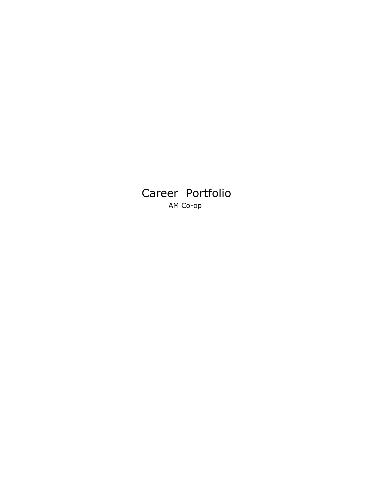Career Portfolio AM Co-op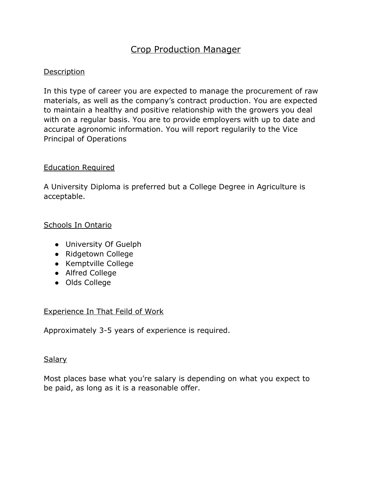## Crop Production Manager

#### Description

In this type of career you are expected to manage the procurement of raw materials, as well as the company's contract production. You are expected to maintain a healthy and positive relationship with the growers you deal with on a regular basis. You are to provide employers with up to date and accurate agronomic information. You will report regularily to the Vice Principal of Operations

#### Education Required

A University Diploma is preferred but a College Degree in Agriculture is acceptable.

## Schools In Ontario

- University Of Guelph
- Ridgetown College
- Kemptville College
- Alfred College
- Olds College

#### Experience In That Feild of Work

Approximately 3-5 years of experience is required.

#### Salary

Most places base what you're salary is depending on what you expect to be paid, as long as it is a reasonable offer.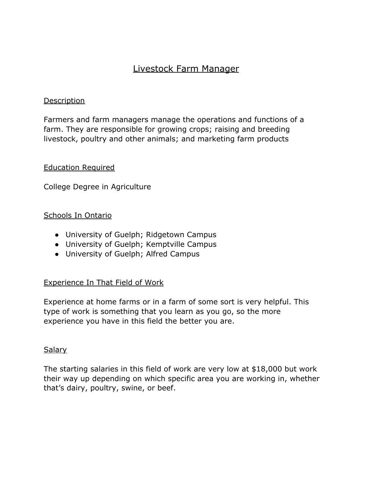# Livestock Farm Manager

#### Description

Farmers and farm managers manage the operations and functions of a farm. They are responsible for growing crops; raising and breeding livestock, poultry and other animals; and marketing farm products

#### Education Required

College Degree in Agriculture

## Schools In Ontario

- University of Guelph; Ridgetown Campus
- University of Guelph; Kemptville Campus
- University of Guelph; Alfred Campus

#### Experience In That Field of Work

Experience at home farms or in a farm of some sort is very helpful. This type of work is something that you learn as you go, so the more experience you have in this field the better you are.

#### Salary

The starting salaries in this field of work are very low at \$18,000 but work their way up depending on which specific area you are working in, whether that's dairy, poultry, swine, or beef.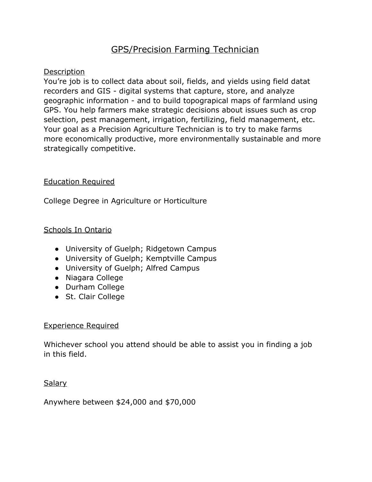# GPS/Precision Farming Technician

## **Description**

You're job is to collect data about soil, fields, and yields using field datat recorders and GIS - digital systems that capture, store, and analyze geographic information - and to build topograpical maps of farmland using GPS. You help farmers make strategic decisions about issues such as crop selection, pest management, irrigation, fertilizing, field management, etc. Your goal as a Precision Agriculture Technician is to try to make farms more economically productive, more environmentally sustainable and more strategically competitive.

## Education Required

College Degree in Agriculture or Horticulture

## Schools In Ontario

- University of Guelph; Ridgetown Campus
- University of Guelph; Kemptville Campus
- University of Guelph; Alfred Campus
- Niagara College
- Durham College
- St. Clair College

#### Experience Required

Whichever school you attend should be able to assist you in finding a job in this field.

#### Salary

Anywhere between \$24,000 and \$70,000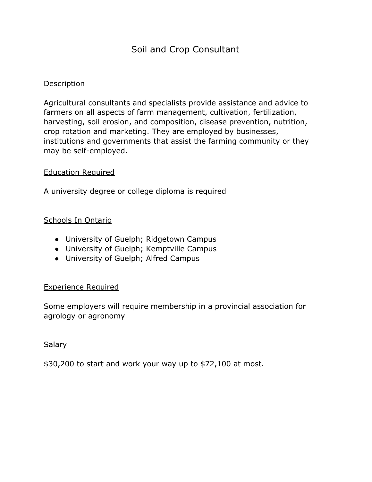# Soil and Crop Consultant

#### Description

Agricultural consultants and specialists provide assistance and advice to farmers on all aspects of farm management, cultivation, fertilization, harvesting, soil erosion, and composition, disease prevention, nutrition, crop rotation and marketing. They are employed by businesses, institutions and governments that assist the farming community or they may be self-employed.

#### Education Required

A university degree or college diploma is required

## Schools In Ontario

- University of Guelph; Ridgetown Campus
- University of Guelph; Kemptville Campus
- University of Guelph; Alfred Campus

#### Experience Required

Some employers will require membership in a provincial association for agrology or agronomy

#### Salary

\$30,200 to start and work your way up to \$72,100 at most.